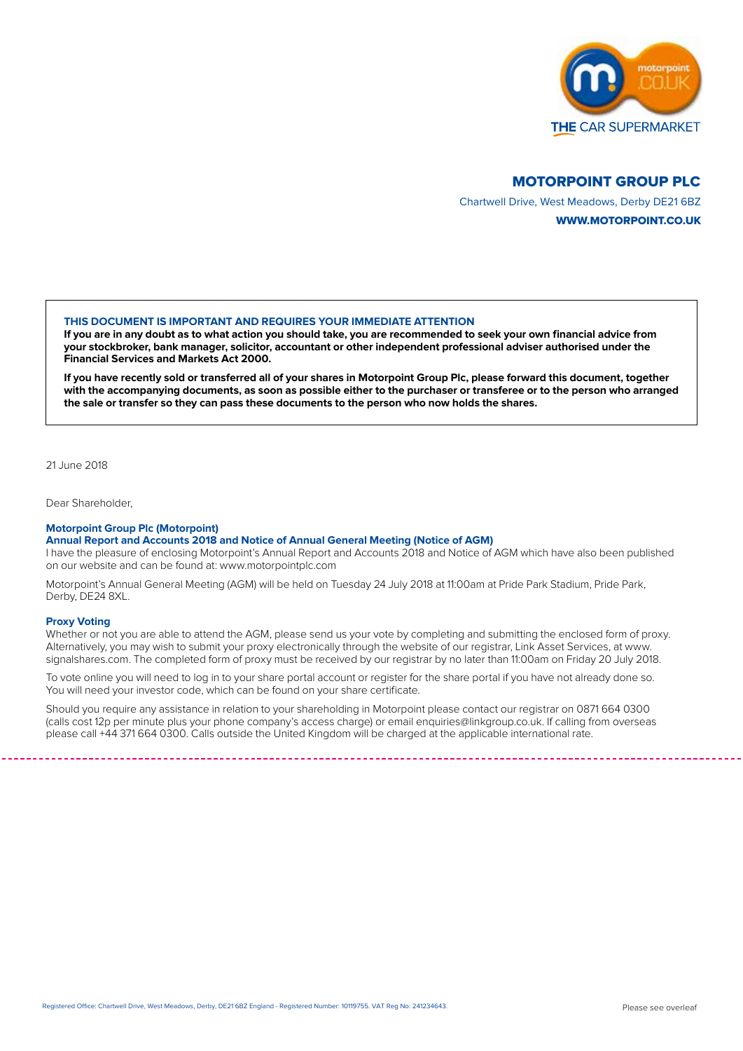

# MOTORPOINT GROUP PLC

Chartwell Drive, West Meadows, Derby DE21 6BZ WWW.MOTORPOINT.CO.UK

## **THIS DOCUMENT IS IMPORTANT AND REQUIRES YOUR IMMEDIATE ATTENTION**

**If you are in any doubt as to what action you should take, you are recommended to seek your own financial advice from your stockbroker, bank manager, solicitor, accountant or other independent professional adviser authorised under the Financial Services and Markets Act 2000.**

**If you have recently sold or transferred all of your shares in Motorpoint Group Plc, please forward this document, together with the accompanying documents, as soon as possible either to the purchaser or transferee or to the person who arranged the sale or transfer so they can pass these documents to the person who now holds the shares.**

21 June 2018

Dear Shareholder,

### **Motorpoint Group Plc (Motorpoint)**

# **Annual Report and Accounts 2018 and Notice of Annual General Meeting (Notice of AGM)**

I have the pleasure of enclosing Motorpoint's Annual Report and Accounts 2018 and Notice of AGM which have also been published on our website and can be found at: www.motorpointplc.com

Motorpoint's Annual General Meeting (AGM) will be held on Tuesday 24 July 2018 at 11:00am at Pride Park Stadium, Pride Park, Derby, DE24 8XL.

#### **Proxy Voting**

Whether or not you are able to attend the AGM, please send us your vote by completing and submitting the enclosed form of proxy. Alternatively, you may wish to submit your proxy electronically through the website of our registrar, Link Asset Services, at www. signalshares.com. The completed form of proxy must be received by our registrar by no later than 11:00am on Friday 20 July 2018.

To vote online you will need to log in to your share portal account or register for the share portal if you have not already done so. You will need your investor code, which can be found on your share certificate.

Should you require any assistance in relation to your shareholding in Motorpoint please contact our registrar on 0871 664 0300 (calls cost 12p per minute plus your phone company's access charge) or email enquiries@linkgroup.co.uk. If calling from overseas please call +44 371 664 0300. Calls outside the United Kingdom will be charged at the applicable international rate.